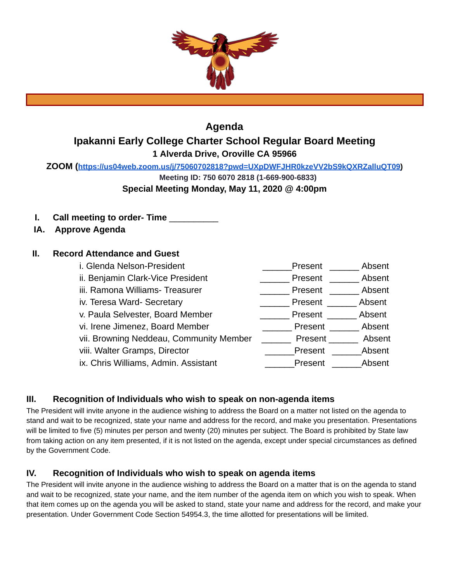

# **Agenda Ipakanni Early College Charter School Regular Board Meeting 1 Alverda Drive, Oroville CA 95966**

**ZOOM ( <https://us04web.zoom.us/j/75060702818?pwd=UXpDWFJHR0kzeVV2bS9kQXRZalluQT09> )** 

**Meeting ID: 750 6070 2818 (1-669-900-6833)** 

**Special Meeting Monday, May 11, 2020 @ 4:00pm** 

- **I. Call meeting to order- Time** \_\_\_\_\_\_\_\_\_\_
- **IA. Approve Agenda**

## **II. Record Attendance and Guest**

i. Glenda Nelson-President and all controls are all controls and present and absent ii. Benjamin Clark-Vice President \_\_\_\_\_\_\_\_\_\_\_\_\_\_\_\_Present \_\_\_\_\_\_\_\_\_ Absent iii. Ramona Williams- Treasurer \_\_\_\_\_\_\_\_\_\_\_\_\_\_\_\_\_\_\_Present \_\_\_\_\_\_\_\_ Absent iv. Teresa Ward- Secretary \_\_\_\_\_\_ Present \_\_\_\_\_\_ Absent v. Paula Selvester, Board Member **Example 20 Fresent** Absent vi. Irene Jimenez, Board Member \_\_\_\_\_\_\_\_\_\_\_\_\_Present \_\_\_\_\_\_\_\_ Absent vii. Browning Neddeau, Community Member **Figure 2014** Present \_\_\_\_\_\_ Absent viii. Walter Gramps, Director \_\_\_\_\_\_\_\_\_\_\_\_\_\_\_\_\_\_\_\_\_Present \_\_\_\_\_\_\_\_Absent ix. Chris Williams, Admin. Assistant **Example 2** Present Absent

## **III. Recognition of Individuals who wish to speak on non-agenda items**

The President will invite anyone in the audience wishing to address the Board on a matter not listed on the agenda to stand and wait to be recognized, state your name and address for the record, and make you presentation. Presentations will be limited to five (5) minutes per person and twenty (20) minutes per subject. The Board is prohibited by State law from taking action on any item presented, if it is not listed on the agenda, except under special circumstances as defined by the Government Code.

## **IV. Recognition of Individuals who wish to speak on agenda items**

The President will invite anyone in the audience wishing to address the Board on a matter that is on the agenda to stand and wait to be recognized, state your name, and the item number of the agenda item on which you wish to speak. When that item comes up on the agenda you will be asked to stand, state your name and address for the record, and make your presentation. Under Government Code Section 54954.3, the time allotted for presentations will be limited.